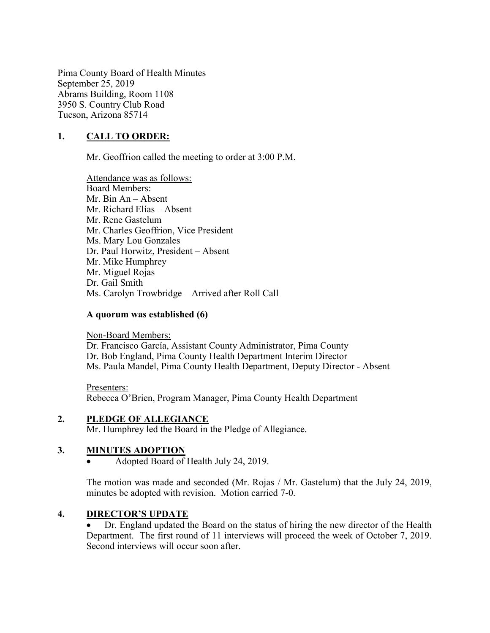Pima County Board of Health Minutes September 25, 2019 Abrams Building, Room 1108 3950 S. Country Club Road Tucson, Arizona 85714

# 1. CALL TO ORDER:

Mr. Geoffrion called the meeting to order at 3:00 P.M.

Attendance was as follows: Board Members: Mr. Bin An – Absent Mr. Richard Elías – Absent Mr. Rene Gastelum Mr. Charles Geoffrion, Vice President Ms. Mary Lou Gonzales Dr. Paul Horwitz, President – Absent Mr. Mike Humphrey Mr. Miguel Rojas Dr. Gail Smith Ms. Carolyn Trowbridge – Arrived after Roll Call

#### A quorum was established (6)

Non-Board Members: Dr. Francisco García, Assistant County Administrator, Pima County Dr. Bob England, Pima County Health Department Interim Director Ms. Paula Mandel, Pima County Health Department, Deputy Director - Absent

Presenters: Rebecca O'Brien, Program Manager, Pima County Health Department

#### 2. PLEDGE OF ALLEGIANCE

Mr. Humphrey led the Board in the Pledge of Allegiance.

## 3. MINUTES ADOPTION

Adopted Board of Health July 24, 2019.

The motion was made and seconded (Mr. Rojas / Mr. Gastelum) that the July 24, 2019, minutes be adopted with revision. Motion carried 7-0.

#### 4. DIRECTOR'S UPDATE

 Dr. England updated the Board on the status of hiring the new director of the Health Department. The first round of 11 interviews will proceed the week of October 7, 2019. Second interviews will occur soon after.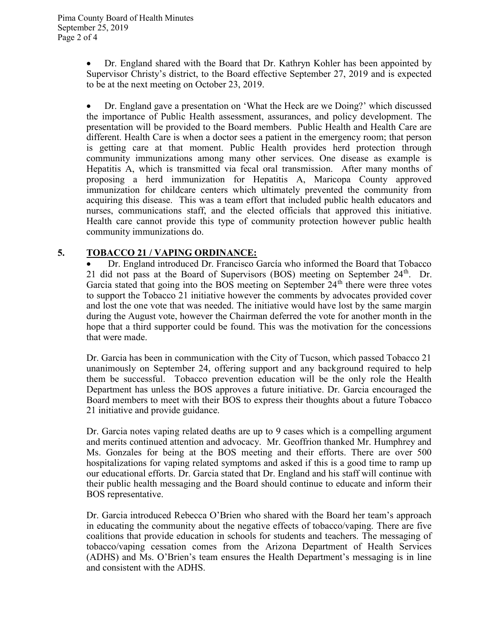Dr. England shared with the Board that Dr. Kathryn Kohler has been appointed by Supervisor Christy's district, to the Board effective September 27, 2019 and is expected to be at the next meeting on October 23, 2019.

 Dr. England gave a presentation on 'What the Heck are we Doing?' which discussed the importance of Public Health assessment, assurances, and policy development. The presentation will be provided to the Board members. Public Health and Health Care are different. Health Care is when a doctor sees a patient in the emergency room; that person is getting care at that moment. Public Health provides herd protection through community immunizations among many other services. One disease as example is Hepatitis A, which is transmitted via fecal oral transmission. After many months of proposing a herd immunization for Hepatitis A, Maricopa County approved immunization for childcare centers which ultimately prevented the community from acquiring this disease. This was a team effort that included public health educators and nurses, communications staff, and the elected officials that approved this initiative. Health care cannot provide this type of community protection however public health community immunizations do.

## 5. TOBACCO 21 / VAPING ORDINANCE:

 Dr. England introduced Dr. Francisco García who informed the Board that Tobacco 21 did not pass at the Board of Supervisors (BOS) meeting on September  $24<sup>th</sup>$ . Dr. Garcia stated that going into the BOS meeting on September  $24<sup>th</sup>$  there were three votes to support the Tobacco 21 initiative however the comments by advocates provided cover and lost the one vote that was needed. The initiative would have lost by the same margin during the August vote, however the Chairman deferred the vote for another month in the hope that a third supporter could be found. This was the motivation for the concessions that were made.

Dr. Garcia has been in communication with the City of Tucson, which passed Tobacco 21 unanimously on September 24, offering support and any background required to help them be successful. Tobacco prevention education will be the only role the Health Department has unless the BOS approves a future initiative. Dr. Garcia encouraged the Board members to meet with their BOS to express their thoughts about a future Tobacco 21 initiative and provide guidance.

Dr. Garcia notes vaping related deaths are up to 9 cases which is a compelling argument and merits continued attention and advocacy. Mr. Geoffrion thanked Mr. Humphrey and Ms. Gonzales for being at the BOS meeting and their efforts. There are over 500 hospitalizations for vaping related symptoms and asked if this is a good time to ramp up our educational efforts. Dr. Garcia stated that Dr. England and his staff will continue with their public health messaging and the Board should continue to educate and inform their BOS representative.

Dr. Garcia introduced Rebecca O'Brien who shared with the Board her team's approach in educating the community about the negative effects of tobacco/vaping. There are five coalitions that provide education in schools for students and teachers. The messaging of tobacco/vaping cessation comes from the Arizona Department of Health Services (ADHS) and Ms. O'Brien's team ensures the Health Department's messaging is in line and consistent with the ADHS.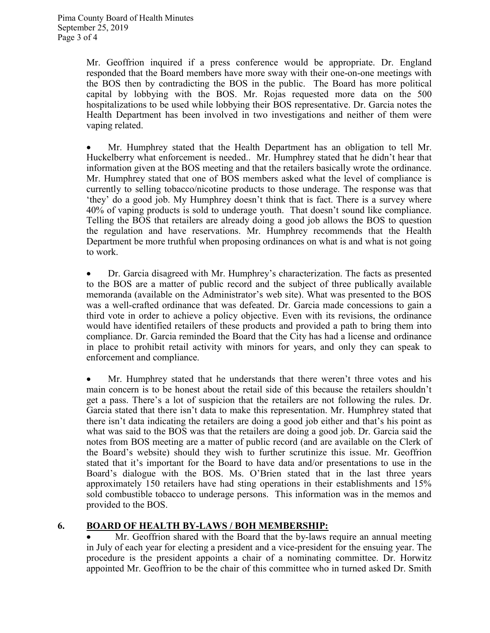Mr. Geoffrion inquired if a press conference would be appropriate. Dr. England responded that the Board members have more sway with their one-on-one meetings with the BOS then by contradicting the BOS in the public. The Board has more political capital by lobbying with the BOS. Mr. Rojas requested more data on the 500 hospitalizations to be used while lobbying their BOS representative. Dr. Garcia notes the Health Department has been involved in two investigations and neither of them were vaping related.

 Mr. Humphrey stated that the Health Department has an obligation to tell Mr. Huckelberry what enforcement is needed.. Mr. Humphrey stated that he didn't hear that information given at the BOS meeting and that the retailers basically wrote the ordinance. Mr. Humphrey stated that one of BOS members asked what the level of compliance is currently to selling tobacco/nicotine products to those underage. The response was that 'they' do a good job. My Humphrey doesn't think that is fact. There is a survey where 40% of vaping products is sold to underage youth. That doesn't sound like compliance. Telling the BOS that retailers are already doing a good job allows the BOS to question the regulation and have reservations. Mr. Humphrey recommends that the Health Department be more truthful when proposing ordinances on what is and what is not going to work.

 Dr. Garcia disagreed with Mr. Humphrey's characterization. The facts as presented to the BOS are a matter of public record and the subject of three publically available memoranda (available on the Administrator's web site). What was presented to the BOS was a well-crafted ordinance that was defeated. Dr. Garcia made concessions to gain a third vote in order to achieve a policy objective. Even with its revisions, the ordinance would have identified retailers of these products and provided a path to bring them into compliance. Dr. Garcia reminded the Board that the City has had a license and ordinance in place to prohibit retail activity with minors for years, and only they can speak to enforcement and compliance.

 Mr. Humphrey stated that he understands that there weren't three votes and his main concern is to be honest about the retail side of this because the retailers shouldn't get a pass. There's a lot of suspicion that the retailers are not following the rules. Dr. Garcia stated that there isn't data to make this representation. Mr. Humphrey stated that there isn't data indicating the retailers are doing a good job either and that's his point as what was said to the BOS was that the retailers are doing a good job. Dr. Garcia said the notes from BOS meeting are a matter of public record (and are available on the Clerk of the Board's website) should they wish to further scrutinize this issue. Mr. Geoffrion stated that it's important for the Board to have data and/or presentations to use in the Board's dialogue with the BOS. Ms. O'Brien stated that in the last three years approximately 150 retailers have had sting operations in their establishments and 15% sold combustible tobacco to underage persons. This information was in the memos and provided to the BOS.

## 6. BOARD OF HEALTH BY-LAWS / BOH MEMBERSHIP:

• Mr. Geoffrion shared with the Board that the by-laws require an annual meeting in July of each year for electing a president and a vice-president for the ensuing year. The procedure is the president appoints a chair of a nominating committee. Dr. Horwitz appointed Mr. Geoffrion to be the chair of this committee who in turned asked Dr. Smith